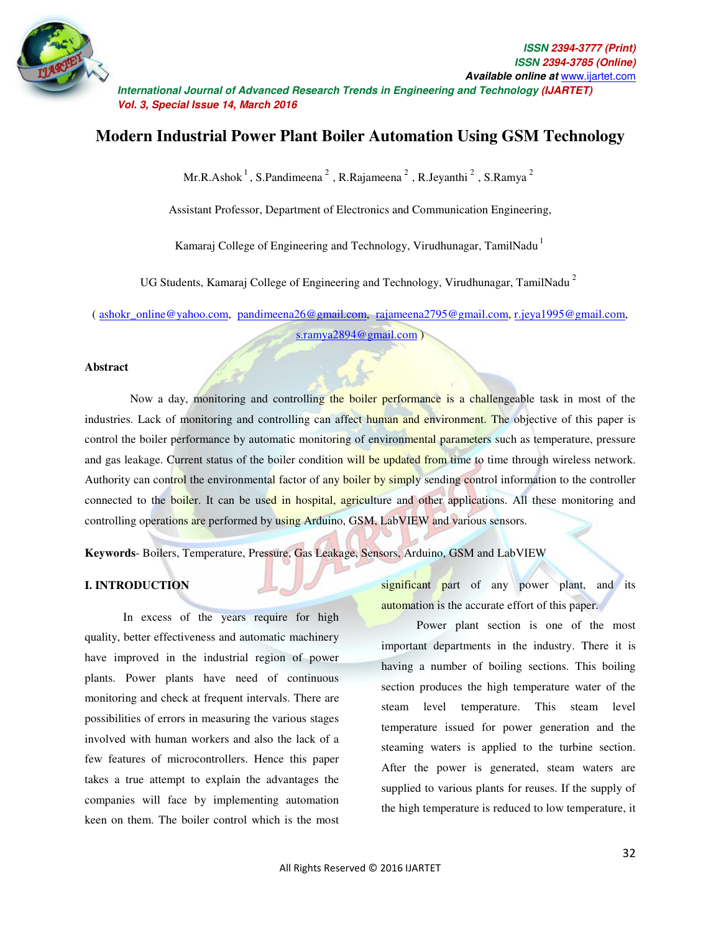

# **Modern Industrial Power Plant Boiler Automation Using GSM Technology**

Mr.R.Ashok<sup>1</sup>, S.Pandimeena<sup>2</sup>, R.Rajameena<sup>2</sup>, R.Jeyanthi<sup>2</sup>, S.Ramya<sup>2</sup>

Assistant Professor, Department of Electronics and Communication Engineering,

Kamaraj College of Engineering and Technology, Virudhunagar, TamilNadu  $<sup>1</sup>$ </sup>

UG Students, Kamaraj College of Engineering and Technology, Virudhunagar, TamilNadu<sup>2</sup>

( ashokr\_online@yahoo.com, pandimeena26@gmail.com, rajameena2795@gmail.com, r.jeya1995@gmail.com, s.ramya2894@gmail.com )

#### **Abstract**

Now a day, monitoring and controlling the boiler performance is a challengeable task in most of the industries. Lack of monitoring and controlling can affect human and environment. The objective of this paper is control the boiler performance by automatic monitoring of environmental parameters such as temperature, pressure and gas leakage. Current status of the boiler condition will be updated from time to time through wireless network. Authority can control the environmental factor of any boiler by simply sending control information to the controller connected to the boiler. It can be used in hospital, agriculture and other applications. All these monitoring and controlling operations are performed by using Arduino, GSM, LabVIEW and various sensors.

**Keywords**- Boilers, Temperature, Pressure, Gas Leakage, Sensors, Arduino, GSM and LabVIEW

# **I. INTRODUCTION**

 In excess of the years require for high quality, better effectiveness and automatic machinery have improved in the industrial region of power plants. Power plants have need of continuous monitoring and check at frequent intervals. There are possibilities of errors in measuring the various stages involved with human workers and also the lack of a few features of microcontrollers. Hence this paper takes a true attempt to explain the advantages the companies will face by implementing automation keen on them. The boiler control which is the most

significant part of any power plant, and its automation is the accurate effort of this paper.

 Power plant section is one of the most important departments in the industry. There it is having a number of boiling sections. This boiling section produces the high temperature water of the steam level temperature. This steam level temperature issued for power generation and the steaming waters is applied to the turbine section. After the power is generated, steam waters are supplied to various plants for reuses. If the supply of the high temperature is reduced to low temperature, it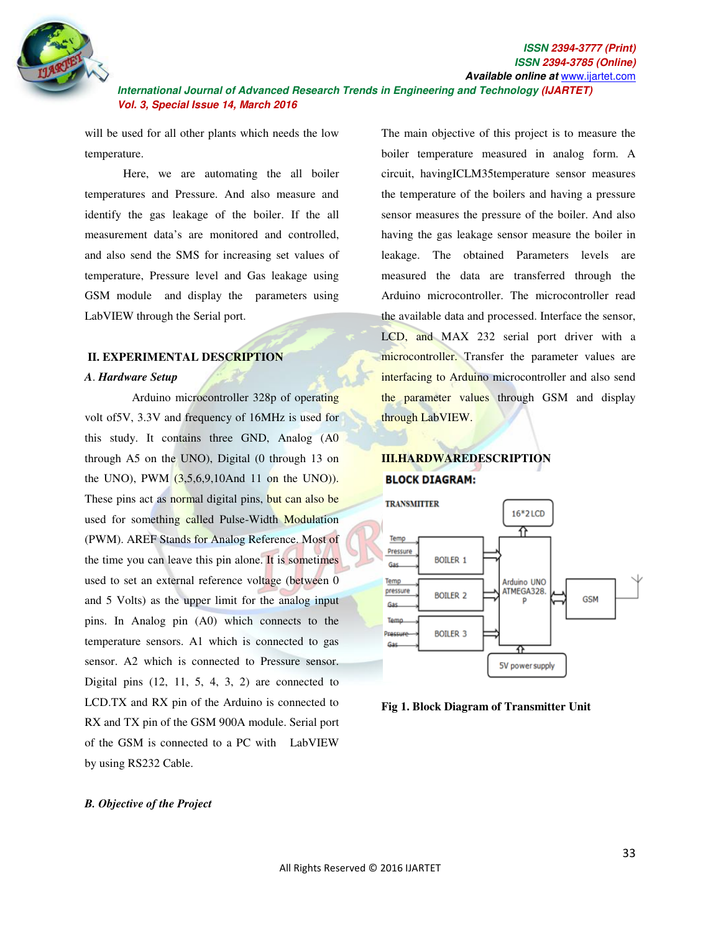

will be used for all other plants which needs the low temperature.

 Here, we are automating the all boiler temperatures and Pressure. And also measure and identify the gas leakage of the boiler. If the all measurement data's are monitored and controlled, and also send the SMS for increasing set values of temperature, Pressure level and Gas leakage using GSM module and display the parameters using LabVIEW through the Serial port.

# **II. EXPERIMENTAL DESCRIPTION**

#### *A*. *Hardware Setup*

 Arduino microcontroller 328p of operating volt of5V, 3.3V and frequency of 16MHz is used for this study. It contains three GND, Analog (A0 through A5 on the UNO), Digital (0 through 13 on the UNO), PWM  $(3,5,6,9,10$ And 11 on the UNO)). These pins act as normal digital pins, but can also be used for something called Pulse-Width Modulation (PWM). AREF Stands for Analog Reference. Most of the time you can leave this pin alone. It is sometimes used to set an external reference voltage (between 0 and 5 Volts) as the upper limit for the analog input pins. In Analog pin (A0) which connects to the temperature sensors. A1 which is connected to gas sensor. A2 which is connected to Pressure sensor. Digital pins  $(12, 11, 5, 4, 3, 2)$  are connected to LCD.TX and RX pin of the Arduino is connected to RX and TX pin of the GSM 900A module. Serial port of the GSM is connected to a PC with LabVIEW by using RS232 Cable.

The main objective of this project is to measure the boiler temperature measured in analog form. A circuit, havingICLM35temperature sensor measures the temperature of the boilers and having a pressure sensor measures the pressure of the boiler. And also having the gas leakage sensor measure the boiler in leakage. The obtained Parameters levels are measured the data are transferred through the Arduino microcontroller. The microcontroller read the available data and processed. Interface the sensor, LCD, and MAX 232 serial port driver with a microcontroller. Transfer the parameter values are interfacing to Arduino microcontroller and also send the parameter values through GSM and display through LabVIEW.

# **III.HARDWAREDESCRIPTION BLOCK DIAGRAM:**



**Fig 1. Block Diagram of Transmitter Unit** 

#### *B. Objective of the Project*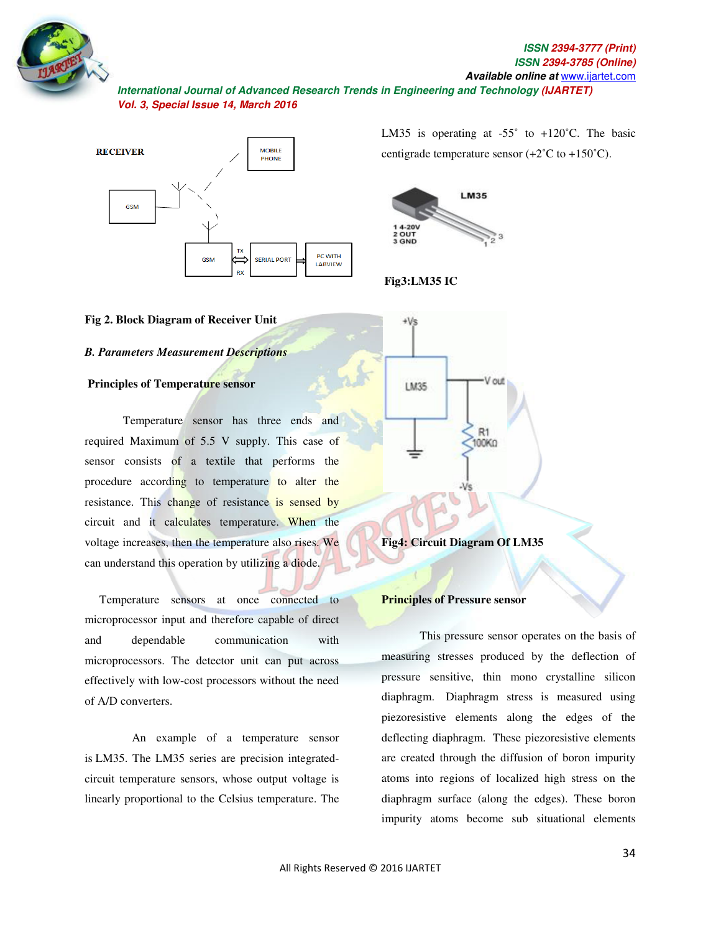



#### **Fig 2. Block Diagram of Receiver Unit Diagram of Receiver**

#### *B. Parameters Measurement Descriptions Parameters Measurement*

# **Principles of Temperature sensor**

Temperature sensor has three ends and required Maximum of 5.5 V supply. This case of sensor consists of a textile that performs the procedure according to temperature to alter the resistance. This change of resistance is sensed by circuit and it calculates temperature. When the voltage increases, then the temperature also rises. We can understand this operation by utilizing a diode. Exam understand this operation by utilizing a diode. sists of a textile that performs the<br>according to temperature to alter the<br>This change of resistance is sensed by<br>it calculates temperature. When the<br>eases, then the temperature also rises. We

microprocessor input and therefore capable of direct and dependable communication with microprocessor input and therefore capable of direct<br>and dependable communication with<br>microprocessors. The detector unit can put across effectively with low-cost processors without the need of A/D converters. effectively with low-cost processors without the need<br>of A/D converters.<br>An example of a temperature sensor

is LM35. The LM35 series are precision integratedcircuit temperature sensors, whose output voltage is linearly proportional to the Celsius temperature. The

centigrade temperature sensor  $(+2^{\circ}C \text{ to } +150^{\circ}C)$ . LM35 is operating at  $-55^{\circ}$  to  $+120^{\circ}$ C. The basic



 **Fig3:LM35 IC** 



**Fig4: Circuit Diagram Of LM35**

#### **Principles of Pressure sensor sensor**

This pressure sensor operates on the basis of measuring stresses produced by the deflection of measuring stresses produced by the deflection of<br>pressure sensitive, thin mono crystalline silicon diaphragm. Diaphragm stress is measured using piezoresistive elements along the edges of the piezoresistive elements along the edges of the deflecting diaphragm. These piezoresistive elements are created through the diffusion of boron impurity atoms into regions of localized high stress on the diaphragm surface (along the edges). These boron impurity atoms become sub s situational elements created through the diffusion of boron impurity<br>ns into regions of localized high stress on the<br>hragm surface (along the edges). These boron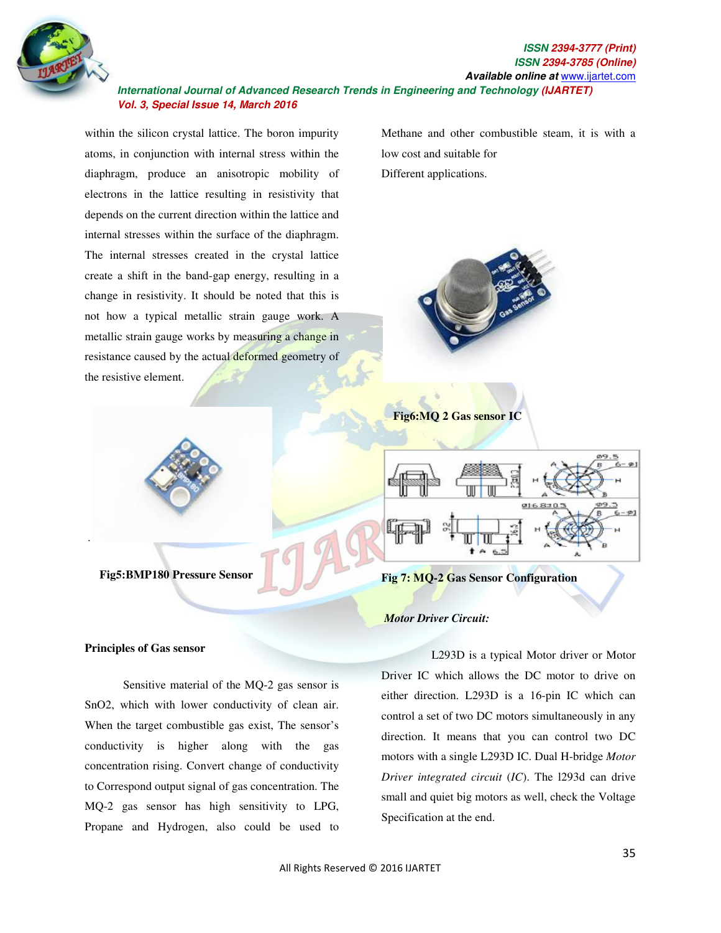

within the silicon crystal lattice. The boron impurity atoms, in conjunction with internal stress within the diaphragm, produce an anisotropic mobility of electrons in the lattice resulting in resistivity that depends on the current direction within the lattice and internal stresses within the surface of the diaphragm. The internal stresses created in the crystal lattice create a shift in the band-gap energy, resulting in a change in resistivity. It should be noted that this is not how a typical metallic strain gauge work. A metallic strain gauge works by measuring a change in resistance caused by the actual deformed geometry of the resistive element.

Methane and other combustible steam, it is with a low cost and suitable for Different applications.



**Fig6:MQ 2 Gas sensor IC**



### **Fig 7: MQ-2 Gas Sensor Configuration**

#### *Motor Driver Circuit:*

 L293D is a typical Motor driver or Motor Driver IC which allows the DC motor to drive on either direction. L293D is a 16-pin IC which can control a set of two DC motors simultaneously in any direction. It means that you can control two DC motors with a single L293D IC. Dual H-bridge *Motor Driver integrated circuit* (*IC*). The l293d can drive small and quiet big motors as well, check the Voltage Specification at the end.

# **Principles of Gas sensor**

the control of the control of the control of

**Fig5:BMP180 Pressure Sensor** 

 Sensitive material of the MQ-2 gas sensor is SnO2, which with lower conductivity of clean air. When the target combustible gas exist, The sensor's conductivity is higher along with the gas concentration rising. Convert change of conductivity to Correspond output signal of gas concentration. The MQ-2 gas sensor has high sensitivity to LPG, Propane and Hydrogen, also could be used to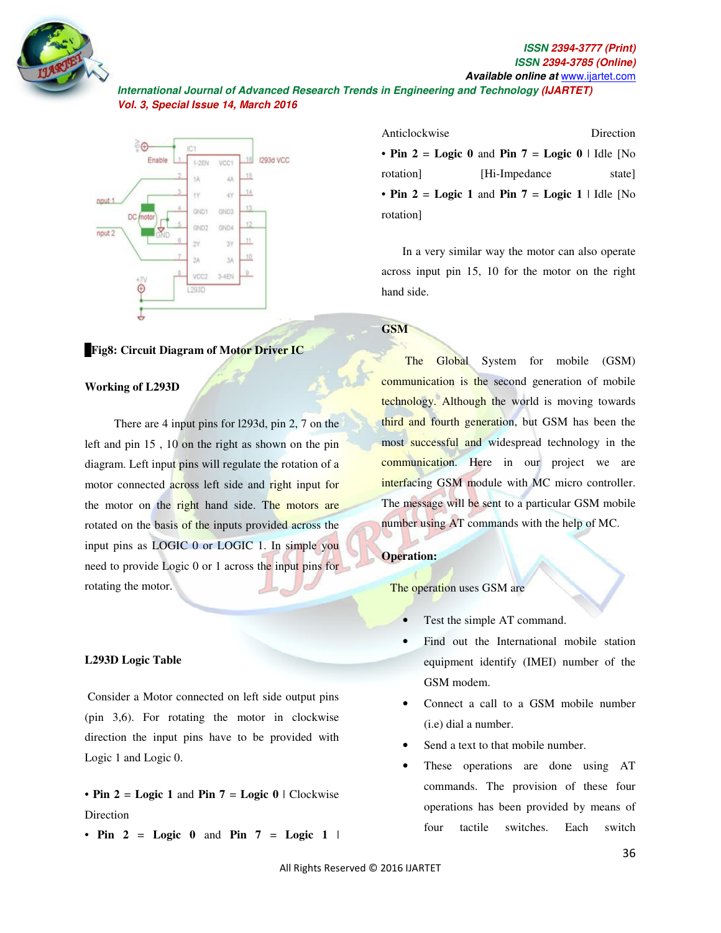

#### **ISSN ISSN 2394-3777 (Print)** *<u><b>ISSN*</u>  **Available online at** www.ijartet.com **2394-3785 (Online)**

 **International Journal of Advanced Research Trends in Engineering and Technology (IJARTET) Vol. 3, Special Issue 14, March 2016**



#### F**Fig8: Circuit Diagram of Motor Driver IC of Motor**

#### **Working of L293D**

There are  $4$  input pins for 1293d, pin  $2$ ,  $7$  on the left and pin  $15$ ,  $10$  on the right as shown on the pin diagram. Left input pins will regulate the rotation of a motor connected across left side and right input for the motor on the right hand side. The motors are rotated on the basis of the inputs provided across the input pins as LOGIC 0 or LOGIC 1. In simple you need to provide Logic 0 or 1 across the input pins for rotating the motor. connected across left side and right input for<br>tor on the right hand side. The motors are<br>on the basis of the inputs provided across the<br>ins as LOGIC 0 or LOGIC 1. In simple you

#### **L293D Logic Table**

 Consider a Motor connected on left side output pins (pin 3,6). For rotating the motor in clockwise direction the input pins have to be provided with Logic 1 and Logic 0. **Provide Logic 0 or 1 across the input pins for**<br>**tating the motor.**<br>**293D Logic Table**<br>onsider a Motor connected on left side output pins<br>in 3,6). For rotating the motor in clockwise<br>rection the input pins have to be pro

• **Pin 2** = **Logic 1** and **Pin 7** = **Logic 0** Direction

• **Pin**  $2 = \text{Logic } 0$  and **Pin**  $7 = \text{Logic } 1$ 

| Anticlockwise |                                                  | Direction |
|---------------|--------------------------------------------------|-----------|
|               | • Pin 2 = Logic 0 and Pin 7 = Logic 0   Idle [No |           |
| rotation]     | [Hi-Impedance]                                   | state     |
|               | • Pin 2 = Logic 1 and Pin 7 = Logic 1   Idle [No |           |
| rotation]     |                                                  |           |

 In a very similar way the motor can also operate In a very similar way the motor can also operate<br>across input pin 15, 10 for the motor on the right hand side.

# **GSM**

**The Global System** for mobile (GSM) communication is the second generation of mobile **communication is the second generation of mobile**<br>technology. Although the world is moving towards third and fourth generation, but GSM has been the most successful and widespread technology in the communication. Here in our project we are interfacing GSM module with MC micro controller. The message will be sent to a particular GSM mobile<br>number using AT commands with the help of MC. number using AT commands with the help of MC.

#### **Operation:**

The operation uses GSM are

- Test the simple AT command.
- Find out the International mobile station equipment identify (IMEI) number of the GSM modem. ne simple AT command.<br>out the International mobile station<br>ment identify (IMEI) number of the
- Connect a call to a GSM mobile number (i.e) dial a number.
- Send a text to that mobile number.
- These operations are done using AT commands. The provision of these four operations has been provided by means of four tactile switches. nds. The provision of these four<br>ons has been provided by means of<br>tactile switches. Each switch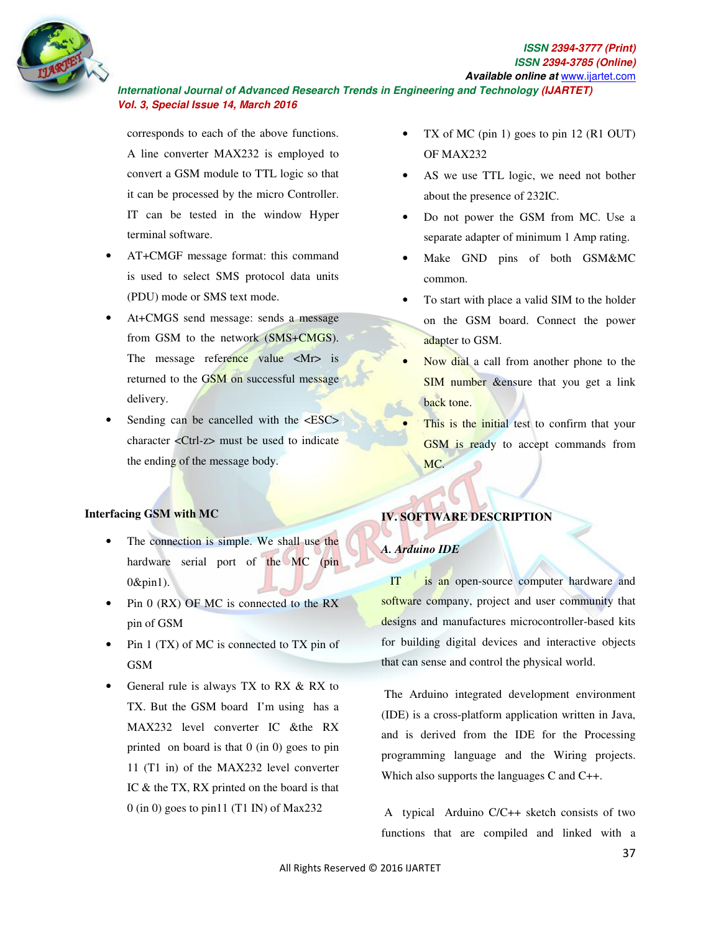

corresponds to each of the above functions. A line converter MAX232 is employed to convert a GSM module to TTL logic so that it can be processed by the micro Controller. IT can be tested in the window Hyper terminal software.

- AT+CMGF message format: this command is used to select SMS protocol data units (PDU) mode or SMS text mode.
- At+CMGS send message: sends a message from GSM to the network (SMS+CMGS). The message reference value  $\langle Mr \rangle$  is returned to the GSM on successful message delivery.
- Sending can be cancelled with the  $\langle ESC \rangle$ character <Ctrl-z> must be used to indicate the ending of the message body.

# **Interfacing GSM with MC**

- The connection is simple. We shall use the hardware serial port of the MC (pin 0&pin1).
- Pin 0 (RX) OF MC is connected to the RX pin of GSM
- Pin 1 (TX) of MC is connected to TX pin of GSM
- General rule is always TX to RX & RX to TX. But the GSM board I'm using has a MAX232 level converter IC &the RX printed on board is that 0 (in 0) goes to pin 11 (T1 in) of the MAX232 level converter IC & the TX, RX printed on the board is that 0 (in 0) goes to pin11 (T1 IN) of Max232
- TX of MC (pin 1) goes to pin  $12$  (R1 OUT) OF MAX232
- AS we use TTL logic, we need not bother about the presence of 232IC.
- Do not power the GSM from MC. Use a separate adapter of minimum 1 Amp rating.
- Make GND pins of both GSM&MC common.
- To start with place a valid SIM to the holder on the GSM board. Connect the power adapter to GSM.
- Now dial a call from another phone to the SIM number &ensure that you get a link back tone.
- This is the *initial* test to confirm that your GSM is ready to accept commands from MC.

# **IV. SOFTWARE DESCRIPTION**

# *A. Arduino IDE*

 IT is an open-source computer hardware and software company, project and user community that designs and manufactures microcontroller-based kits for building digital devices and interactive objects that can sense and control the physical world.

 The Arduino integrated development environment (IDE) is a cross-platform application written in Java, and is derived from the IDE for the Processing programming language and the Wiring projects. Which also supports the languages C and C++.

 A typical Arduino C/C++ sketch consists of two functions that are compiled and linked with a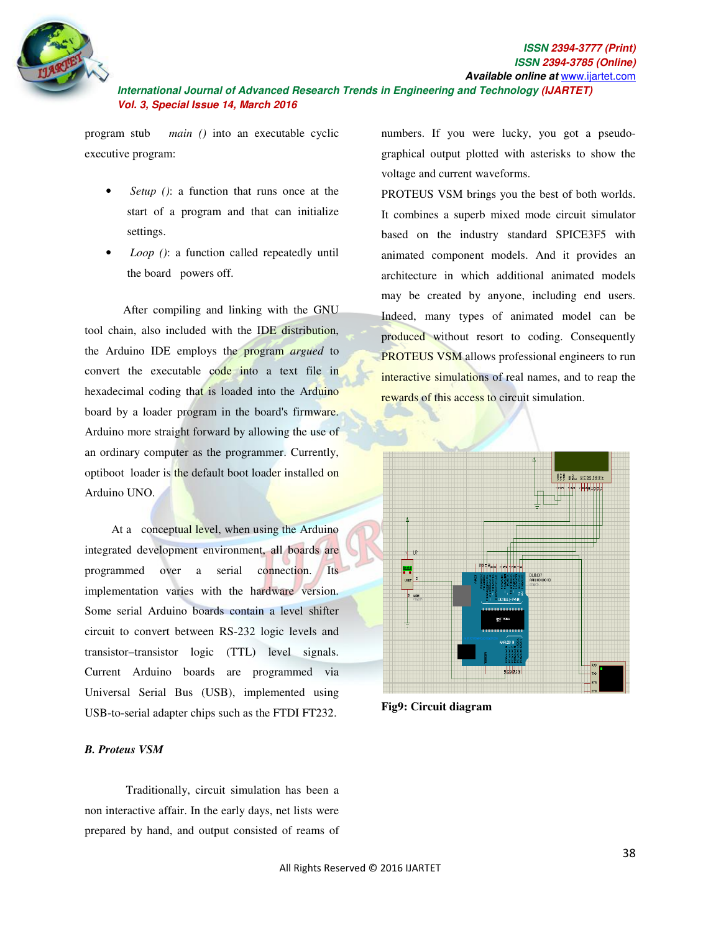

program stub *main ()* into an executable cyclic executive program:

- • *Setup ()*: a function that runs once at the start of a program and that can initialize settings.
- • *Loop ()*: a function called repeatedly until the board powers off.

 After compiling and linking with the GNU tool chain, also included with the IDE distribution, the Arduino IDE employs the program *argued* to convert the executable code into a text file in hexadecimal coding that is loaded into the Arduino board by a loader program in the board's firmware. Arduino more straight forward by allowing the use of an ordinary computer as the programmer. Currently, optiboot loader is the default boot loader installed on Arduino UNO.

 At a conceptual level, when using the Arduino integrated development environment, all boards are programmed over a serial connection. Its implementation varies with the hardware version. Some serial Arduino boards contain a level shifter circuit to convert between RS-232 logic levels and transistor–transistor logic (TTL) level signals. Current Arduino boards are programmed via Universal Serial Bus (USB), implemented using USB-to-serial adapter chips such as the FTDI FT232.

numbers. If you were lucky, you got a pseudographical output plotted with asterisks to show the voltage and current waveforms.

PROTEUS VSM brings you the best of both worlds. It combines a superb mixed mode circuit simulator based on the industry standard SPICE3F5 with animated component models. And it provides an architecture in which additional animated models may be created by anyone, including end users. Indeed, many types of animated model can be produced without resort to coding. Consequently PROTEUS VSM allows professional engineers to run interactive simulations of real names, and to reap the rewards of this access to circuit simulation.



**Fig9: Circuit diagram** 

#### *B. Proteus VSM*

 Traditionally, circuit simulation has been a non interactive affair. In the early days, net lists were prepared by hand, and output consisted of reams of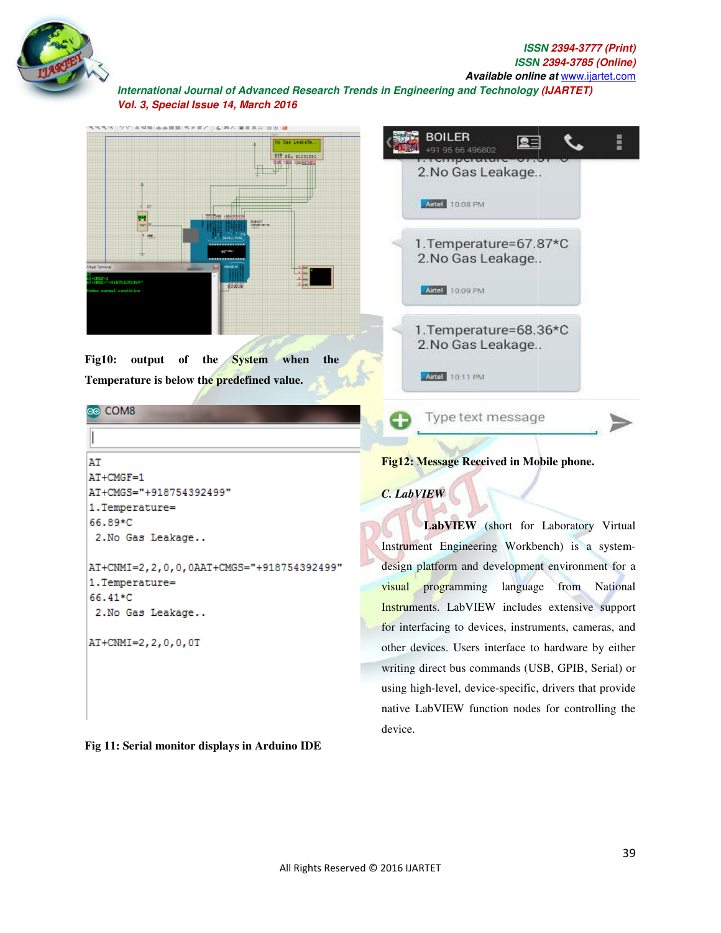



**Fig 11: Serial monitor displays in Arduino ID in Arduino IDE** 

device.

writing direct bus commands (USB, GPIB, Serial) or writing direct bus commands (USB, GPIB, Serial) or<br>using high-level, device-specific, drivers that provide

native LabVIEW function nodes for controlling the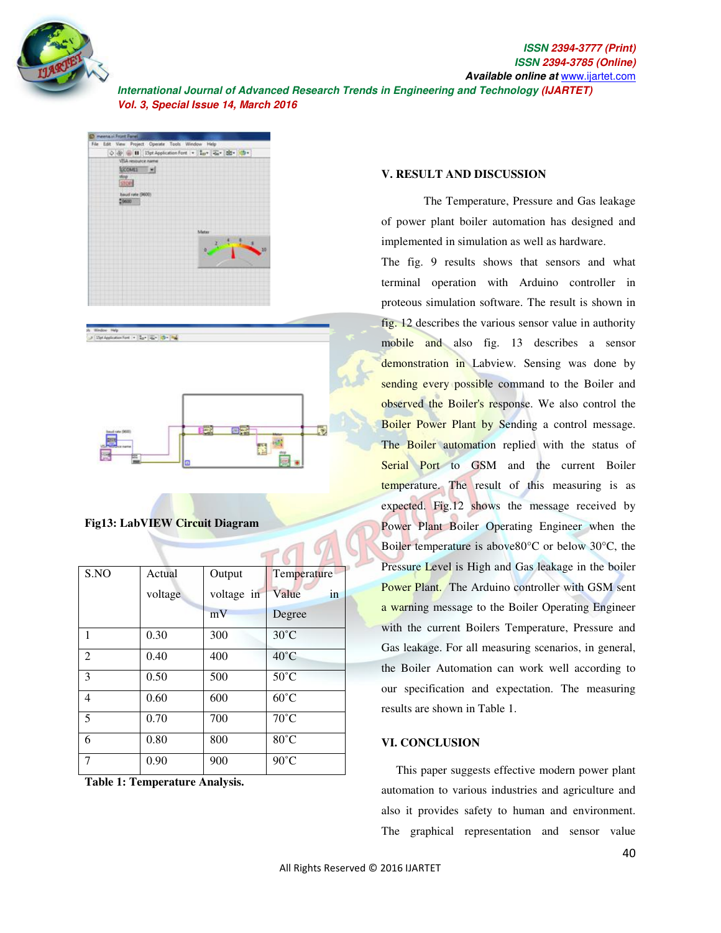





### **Fig13: LabVIEW Circuit Diagram**

| S.NO           | Actual  | Output     | Temperature    |
|----------------|---------|------------|----------------|
|                | voltage | voltage in | Value<br>in    |
|                |         | mV         | Degree         |
| $\overline{1}$ | 0.30    | 300        | $30^{\circ}$ C |
| $\overline{2}$ | 0.40    | 400        | $40^{\circ}$ C |
| 3              | 0.50    | 500        | $50^{\circ}$ C |
| $\overline{4}$ | 0.60    | 600        | $60^{\circ}$ C |
| 5              | 0.70    | 700        | $70^{\circ}$ C |
| 6              | 0.80    | 800        | $80^{\circ}$ C |
| $\tau$         | 0.90    | 900        | $90^{\circ}$ C |

**Table 1: Temperature Analysis.** 

#### **V. RESULT AND DISCUSSION**

The Temperature, Pressure and Gas leakage of power plant boiler automation has designed and implemented in simulation as well as hardware.

The fig. 9 results shows that sensors and what terminal operation with Arduino controller in proteous simulation software. The result is shown in fig. 12 describes the various sensor value in authority mobile and also fig. 13 describes a sensor demonstration in Labview. Sensing was done by sending every possible command to the Boiler and observed the Boiler's response. We also control the Boiler Power Plant by Sending a control message. The Boiler automation replied with the status of Serial Port to GSM and the current Boiler temperature. The result of this measuring is as expected. Fig.12 shows the message received by Power Plant Boiler Operating Engineer when the Boiler temperature is above80°C or below 30°C, the Pressure Level is High and Gas leakage in the boiler Power Plant. The Arduino controller with GSM sent a warning message to the Boiler Operating Engineer with the current Boilers Temperature, Pressure and Gas leakage. For all measuring scenarios, in general, the Boiler Automation can work well according to our specification and expectation. The measuring results are shown in Table 1.

#### **VI. CONCLUSION**

 This paper suggests effective modern power plant automation to various industries and agriculture and also it provides safety to human and environment. The graphical representation and sensor value